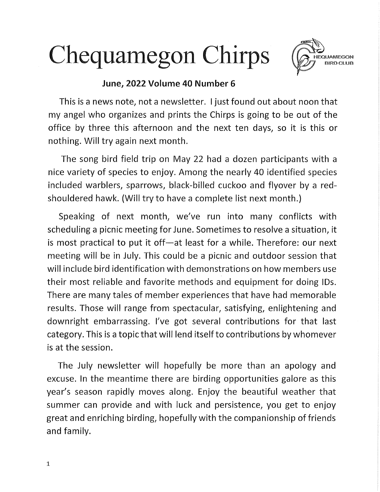## Chequamegon Chirps



I

## June, 2022 Volume 40 Number 6

This is a news note, not a newsletter. I just found out about noon that my angel who organizes and prints the Chirps is going to be out of the office by three this afternoon and the next ten days, so it is this or nothing. Will try again next month.

The song bird field trip on May 22 had a dozen participants with a nice variety of species to enjoy. Among the nearly 40 identified species included warblers, sparrows, black-billed cuckoo and flyover by a redshouldered hawk. (Will try to have a complete list next month.)

Speaking of next month, we've run into many conflicts with scheduling a picnic meeting for June. Sometimes to resolve a situation, it is most practical to put it off—at least for a while. Therefore: our next meeting will be in July. This could be a picnic and outdoor session that will include bird identification with demonstrations on how members use their most reliable and favorite methods and equipment for doing IDs. There are many tales of member experiences that have had memorable results. Those will range from spectacular, satisfying, enlightening and downright embarrassing. l've got several contributions for that last category. This is a topic that will lend itself to contributions by whomever is at the session.

The July newsletter will hopefully be more than an apology and excuse. In the meantime there are birding opportunities galore as this year's season rapidly moves along. Enjoy the beautiful weather that summer can provide and with luck and persistence, you get to enjoy great and enriching birding, hopefully with the companionship of friends and family.